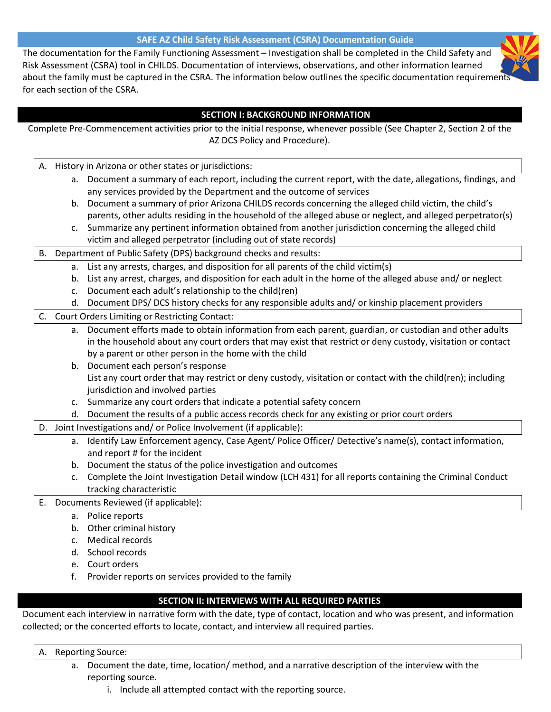#### **SAFE AZ Child Safety Risk Assessment (CSRA) Documentation Guide**

The documentation for the Family Functioning Assessment – Investigation shall be completed in the Child Safety and Risk Assessment (CSRA) tool in CHILDS. Documentation of interviews, observations, and other information learned about the family must be captured in the CSRA. The information below outlines the specific documentation requirements for each section of the CSRA.

#### **SECTION I: BACKGROUND INFORMATION**

| Complete Pre-Commencement activities prior to the initial response, whenever possible (See Chapter 2, Section 2 of the |                                                                  |                                                                                                               |
|------------------------------------------------------------------------------------------------------------------------|------------------------------------------------------------------|---------------------------------------------------------------------------------------------------------------|
|                                                                                                                        |                                                                  | AZ DCS Policy and Procedure).                                                                                 |
|                                                                                                                        |                                                                  |                                                                                                               |
|                                                                                                                        |                                                                  | A. History in Arizona or other states or jurisdictions:                                                       |
|                                                                                                                        |                                                                  | a. Document a summary of each report, including the current report, with the date, allegations, findings, and |
|                                                                                                                        |                                                                  | any services provided by the Department and the outcome of services                                           |
|                                                                                                                        |                                                                  | b. Document a summary of prior Arizona CHILDS records concerning the alleged child victim, the child's        |
|                                                                                                                        |                                                                  | parents, other adults residing in the household of the alleged abuse or neglect, and alleged perpetrator(s)   |
|                                                                                                                        |                                                                  | c. Summarize any pertinent information obtained from another jurisdiction concerning the alleged child        |
|                                                                                                                        |                                                                  | victim and alleged perpetrator (including out of state records)                                               |
| B.                                                                                                                     | Department of Public Safety (DPS) background checks and results: |                                                                                                               |
|                                                                                                                        | а.                                                               | List any arrests, charges, and disposition for all parents of the child victim(s)                             |
|                                                                                                                        | b.                                                               | List any arrest, charges, and disposition for each adult in the home of the alleged abuse and/ or neglect     |
|                                                                                                                        | c.                                                               | Document each adult's relationship to the child(ren)                                                          |
|                                                                                                                        |                                                                  | d. Document DPS/DCS history checks for any responsible adults and/or kinship placement providers              |
| Court Orders Limiting or Restricting Contact:<br>$\mathsf{C}$ .                                                        |                                                                  |                                                                                                               |
|                                                                                                                        | а.                                                               | Document efforts made to obtain information from each parent, guardian, or custodian and other adults         |
|                                                                                                                        |                                                                  | in the household about any court orders that may exist that restrict or deny custody, visitation or contact   |
|                                                                                                                        |                                                                  | by a parent or other person in the home with the child                                                        |
|                                                                                                                        |                                                                  | b. Document each person's response                                                                            |
|                                                                                                                        |                                                                  | List any court order that may restrict or deny custody, visitation or contact with the child(ren); including  |
|                                                                                                                        |                                                                  | jurisdiction and involved parties                                                                             |
|                                                                                                                        |                                                                  | c. Summarize any court orders that indicate a potential safety concern                                        |
|                                                                                                                        |                                                                  | d. Document the results of a public access records check for any existing or prior court orders               |
| D. Joint Investigations and/or Police Involvement (if applicable):                                                     |                                                                  |                                                                                                               |
|                                                                                                                        |                                                                  | a. Identify Law Enforcement agency, Case Agent/ Police Officer/ Detective's name(s), contact information,     |
|                                                                                                                        |                                                                  | and report # for the incident                                                                                 |
|                                                                                                                        |                                                                  | b. Document the status of the police investigation and outcomes                                               |
|                                                                                                                        | c.                                                               | Complete the Joint Investigation Detail window (LCH 431) for all reports containing the Criminal Conduct      |
|                                                                                                                        |                                                                  | tracking characteristic                                                                                       |
| Ε.                                                                                                                     | Documents Reviewed (if applicable):                              |                                                                                                               |
|                                                                                                                        |                                                                  | a. Police reports                                                                                             |
|                                                                                                                        | b.                                                               | Other criminal history                                                                                        |
|                                                                                                                        |                                                                  | c. Medical records                                                                                            |

- d. School records
- e. Court orders
- f. Provider reports on services provided to the family

### **SECTION II: INTERVIEWS WITH ALL REQUIRED PARTIES**

Document each interview in narrative form with the date, type of contact, location and who was present, and information collected; or the concerted efforts to locate, contact, and interview all required parties.

- A. Reporting Source:
	- a. Document the date, time, location/ method, and a narrative description of the interview with the reporting source.
		- i. Include all attempted contact with the reporting source.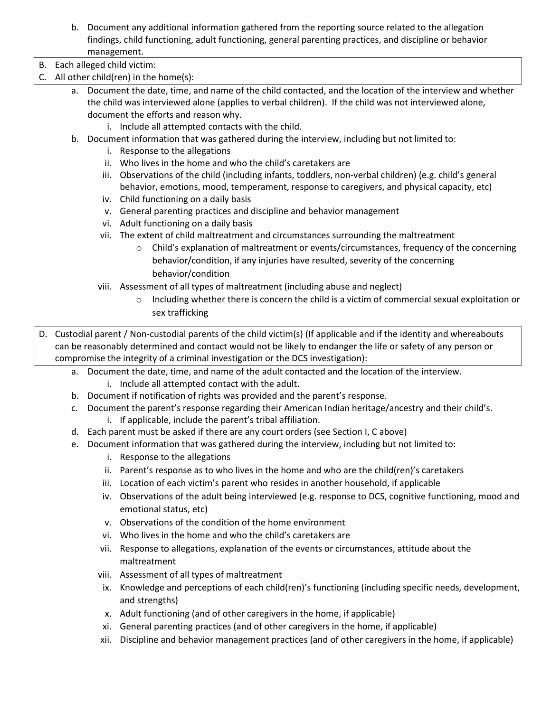b. Document any additional information gathered from the reporting source related to the allegation findings, child functioning, adult functioning, general parenting practices, and discipline or behavior management.

B. Each alleged child victim:

- C. All other child(ren) in the home(s):
	- a. Document the date, time, and name of the child contacted, and the location of the interview and whether the child was interviewed alone (applies to verbal children). If the child was not interviewed alone, document the efforts and reason why.
		- i. Include all attempted contacts with the child.
	- b. Document information that was gathered during the interview, including but not limited to:
		- i. Response to the allegations
		- ii. Who lives in the home and who the child's caretakers are
		- iii. Observations of the child (including infants, toddlers, non-verbal children) (e.g. child's general behavior, emotions, mood, temperament, response to caregivers, and physical capacity, etc)
		- iv. Child functioning on a daily basis
		- v. General parenting practices and discipline and behavior management
		- vi. Adult functioning on a daily basis
		- vii. The extent of child maltreatment and circumstances surrounding the maltreatment
			- o Child's explanation of maltreatment or events/circumstances, frequency of the concerning behavior/condition, if any injuries have resulted, severity of the concerning behavior/condition
		- viii. Assessment of all types of maltreatment (including abuse and neglect)
			- $\circ$  Including whether there is concern the child is a victim of commercial sexual exploitation or sex trafficking
- D. Custodial parent / Non-custodial parents of the child victim(s) (If applicable and if the identity and whereabouts can be reasonably determined and contact would not be likely to endanger the life or safety of any person or compromise the integrity of a criminal investigation or the DCS investigation):
	- a. Document the date, time, and name of the adult contacted and the location of the interview. i. Include all attempted contact with the adult.
	- b. Document if notification of rights was provided and the parent's response.
	- c. Document the parent's response regarding their American Indian heritage/ancestry and their child's.
		- i. If applicable, include the parent's tribal affiliation.
	- d. Each parent must be asked if there are any court orders (see Section I, C above)
	- e. Document information that was gathered during the interview, including but not limited to:
		- i. Response to the allegations
		- ii. Parent's response as to who lives in the home and who are the child(ren)'s caretakers
		- iii. Location of each victim's parent who resides in another household, if applicable
		- iv. Observations of the adult being interviewed (e.g. response to DCS, cognitive functioning, mood and emotional status, etc)
		- v. Observations of the condition of the home environment
		- vi. Who lives in the home and who the child's caretakers are
		- vii. Response to allegations, explanation of the events or circumstances, attitude about the maltreatment
		- viii. Assessment of all types of maltreatment
		- ix. Knowledge and perceptions of each child(ren)'s functioning (including specific needs, development, and strengths)
		- x. Adult functioning (and of other caregivers in the home, if applicable)
		- xi. General parenting practices (and of other caregivers in the home, if applicable)
		- xii. Discipline and behavior management practices (and of other caregivers in the home, if applicable)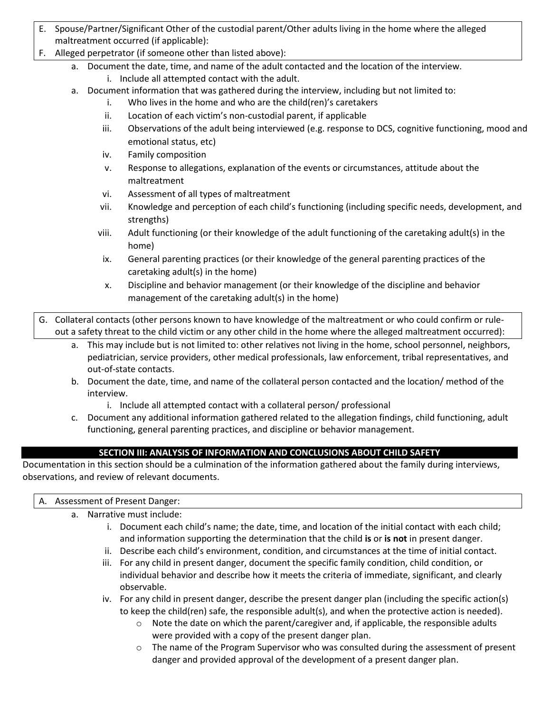- E. Spouse/Partner/Significant Other of the custodial parent/Other adults living in the home where the alleged maltreatment occurred (if applicable):
- F. Alleged perpetrator (if someone other than listed above):
	- a. Document the date, time, and name of the adult contacted and the location of the interview.
		- i. Include all attempted contact with the adult.
	- a. Document information that was gathered during the interview, including but not limited to:
		- i. Who lives in the home and who are the child(ren)'s caretakers
		- ii. Location of each victim's non-custodial parent, if applicable
		- iii. Observations of the adult being interviewed (e.g. response to DCS, cognitive functioning, mood and emotional status, etc)
		- iv. Family composition
		- v. Response to allegations, explanation of the events or circumstances, attitude about the maltreatment
		- vi. Assessment of all types of maltreatment
		- vii. Knowledge and perception of each child's functioning (including specific needs, development, and strengths)
		- viii. Adult functioning (or their knowledge of the adult functioning of the caretaking adult(s) in the home)
		- ix. General parenting practices (or their knowledge of the general parenting practices of the caretaking adult(s) in the home)
		- x. Discipline and behavior management (or their knowledge of the discipline and behavior management of the caretaking adult(s) in the home)
- G. Collateral contacts (other persons known to have knowledge of the maltreatment or who could confirm or ruleout a safety threat to the child victim or any other child in the home where the alleged maltreatment occurred):
	- a. This may include but is not limited to: other relatives not living in the home, school personnel, neighbors, pediatrician, service providers, other medical professionals, law enforcement, tribal representatives, and out-of-state contacts.
	- b. Document the date, time, and name of the collateral person contacted and the location/ method of the interview.
		- i. Include all attempted contact with a collateral person/ professional
	- c. Document any additional information gathered related to the allegation findings, child functioning, adult functioning, general parenting practices, and discipline or behavior management.

# **SECTION III: ANALYSIS OF INFORMATION AND CONCLUSIONS ABOUT CHILD SAFETY**

Documentation in this section should be a culmination of the information gathered about the family during interviews, observations, and review of relevant documents.

### A. Assessment of Present Danger:

- a. Narrative must include:
	- i. Document each child's name; the date, time, and location of the initial contact with each child; and information supporting the determination that the child **is** or **is not** in present danger.
	- ii. Describe each child's environment, condition, and circumstances at the time of initial contact.
	- iii. For any child in present danger, document the specific family condition, child condition, or individual behavior and describe how it meets the criteria of immediate, significant, and clearly observable.
	- iv. For any child in present danger, describe the present danger plan (including the specific action(s) to keep the child(ren) safe, the responsible adult(s), and when the protective action is needed).
		- $\circ$  Note the date on which the parent/caregiver and, if applicable, the responsible adults were provided with a copy of the present danger plan.
		- $\circ$  The name of the Program Supervisor who was consulted during the assessment of present danger and provided approval of the development of a present danger plan.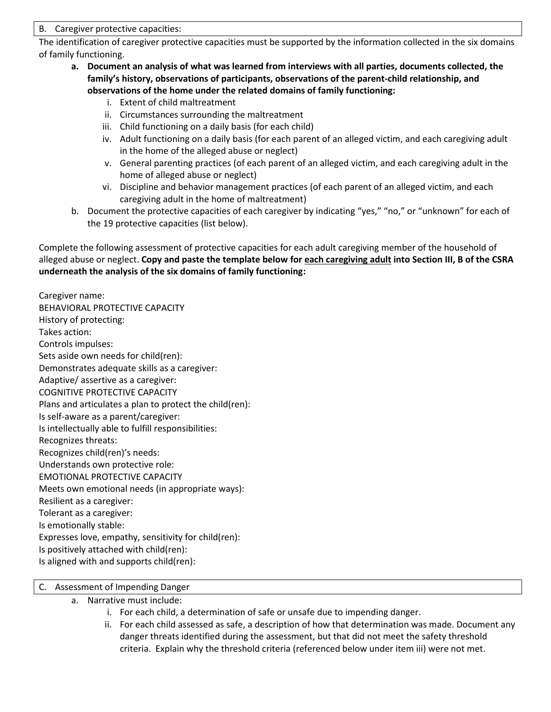B. Caregiver protective capacities:

The identification of caregiver protective capacities must be supported by the information collected in the six domains of family functioning.

- **a. Document an analysis of what was learned from interviews with all parties, documents collected, the family's history, observations of participants, observations of the parent-child relationship, and observations of the home under the related domains of family functioning:**
	- i. Extent of child maltreatment
	- ii. Circumstances surrounding the maltreatment
	- iii. Child functioning on a daily basis (for each child)
	- iv. Adult functioning on a daily basis (for each parent of an alleged victim, and each caregiving adult in the home of the alleged abuse or neglect)
	- v. General parenting practices (of each parent of an alleged victim, and each caregiving adult in the home of alleged abuse or neglect)
	- vi. Discipline and behavior management practices (of each parent of an alleged victim, and each caregiving adult in the home of maltreatment)
- b. Document the protective capacities of each caregiver by indicating "yes," "no," or "unknown" for each of the 19 protective capacities (list below).

Complete the following assessment of protective capacities for each adult caregiving member of the household of alleged abuse or neglect. **Copy and paste the template below for each caregiving adult into Section III, B of the CSRA underneath the analysis of the six domains of family functioning:**

Caregiver name: BEHAVIORAL PROTECTIVE CAPACITY History of protecting: Takes action: Controls impulses: Sets aside own needs for child(ren): Demonstrates adequate skills as a caregiver: Adaptive/ assertive as a caregiver: COGNITIVE PROTECTIVE CAPACITY Plans and articulates a plan to protect the child(ren): Is self-aware as a parent/caregiver: Is intellectually able to fulfill responsibilities: Recognizes threats: Recognizes child(ren)'s needs: Understands own protective role: EMOTIONAL PROTECTIVE CAPACITY Meets own emotional needs (in appropriate ways): Resilient as a caregiver: Tolerant as a caregiver: Is emotionally stable: Expresses love, empathy, sensitivity for child(ren): Is positively attached with child(ren): Is aligned with and supports child(ren):

### C. Assessment of Impending Danger

- a. Narrative must include:
	- i. For each child, a determination of safe or unsafe due to impending danger.
	- ii. For each child assessed as safe, a description of how that determination was made. Document any danger threats identified during the assessment, but that did not meet the safety threshold criteria. Explain why the threshold criteria (referenced below under item iii) were not met.